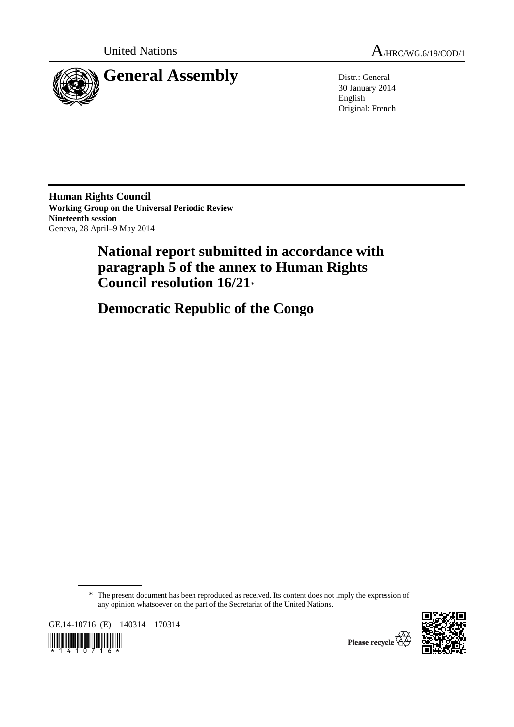

United Nations  $A_{HRC/WG.6/19/CDD/1}$ 

30 January 2014 English Original: French

**Human Rights Council Working Group on the Universal Periodic Review Nineteenth session**  Geneva, 28 April–9 May 2014

# **National report submitted in accordance with paragraph 5 of the annex to Human Rights Council resolution 16/21**\*

 **Democratic Republic of the Congo** 

\* The present document has been reproduced as received. Its content does not imply the expression of any opinion whatsoever on the part of the Secretariat of the United Nations.

GE.14-10716 (E) 140314 170314





Please recycle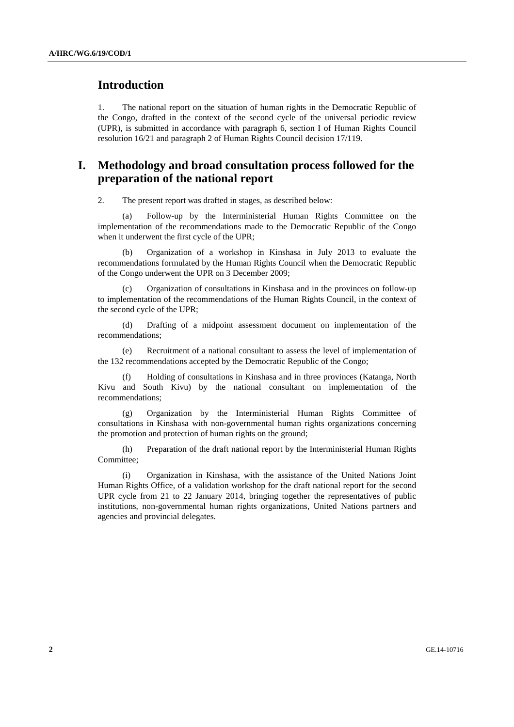# **Introduction**

1. The national report on the situation of human rights in the Democratic Republic of the Congo, drafted in the context of the second cycle of the universal periodic review (UPR), is submitted in accordance with paragraph 6, section I of Human Rights Council resolution 16/21 and paragraph 2 of Human Rights Council decision 17/119.

# **I. Methodology and broad consultation process followed for the preparation of the national report**

2. The present report was drafted in stages, as described below:

 (a) Follow-up by the Interministerial Human Rights Committee on the implementation of the recommendations made to the Democratic Republic of the Congo when it underwent the first cycle of the UPR;

 (b) Organization of a workshop in Kinshasa in July 2013 to evaluate the recommendations formulated by the Human Rights Council when the Democratic Republic of the Congo underwent the UPR on 3 December 2009;

 (c) Organization of consultations in Kinshasa and in the provinces on follow-up to implementation of the recommendations of the Human Rights Council, in the context of the second cycle of the UPR;

 (d) Drafting of a midpoint assessment document on implementation of the recommendations;

 (e) Recruitment of a national consultant to assess the level of implementation of the 132 recommendations accepted by the Democratic Republic of the Congo;

 (f) Holding of consultations in Kinshasa and in three provinces (Katanga, North Kivu and South Kivu) by the national consultant on implementation of the recommendations;

 (g) Organization by the Interministerial Human Rights Committee of consultations in Kinshasa with non-governmental human rights organizations concerning the promotion and protection of human rights on the ground;

 (h) Preparation of the draft national report by the Interministerial Human Rights Committee;

 (i) Organization in Kinshasa, with the assistance of the United Nations Joint Human Rights Office, of a validation workshop for the draft national report for the second UPR cycle from 21 to 22 January 2014, bringing together the representatives of public institutions, non-governmental human rights organizations, United Nations partners and agencies and provincial delegates.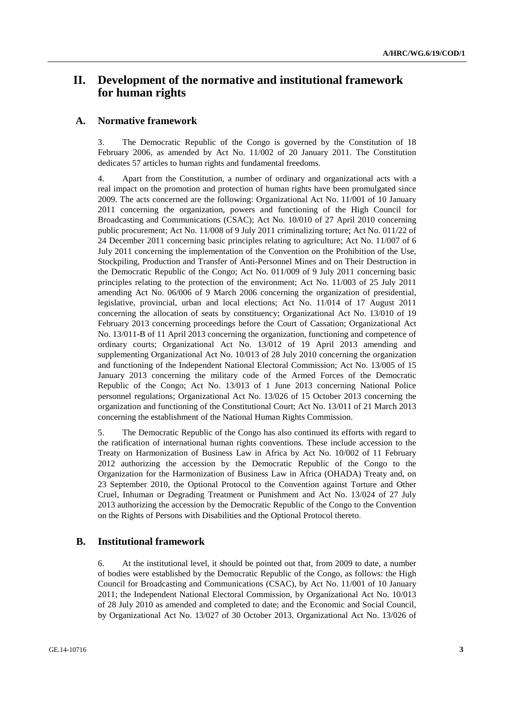# **II. Development of the normative and institutional framework for human rights**

#### **A. Normative framework**

3. The Democratic Republic of the Congo is governed by the Constitution of 18 February 2006, as amended by Act No. 11/002 of 20 January 2011. The Constitution dedicates 57 articles to human rights and fundamental freedoms.

4. Apart from the Constitution, a number of ordinary and organizational acts with a real impact on the promotion and protection of human rights have been promulgated since 2009. The acts concerned are the following: Organizational Act No. 11/001 of 10 January 2011 concerning the organization, powers and functioning of the High Council for Broadcasting and Communications (CSAC); Act No. 10/010 of 27 April 2010 concerning public procurement; Act No. 11/008 of 9 July 2011 criminalizing torture; Act No. 011/22 of 24 December 2011 concerning basic principles relating to agriculture; Act No. 11/007 of 6 July 2011 concerning the implementation of the Convention on the Prohibition of the Use, Stockpiling, Production and Transfer of Anti-Personnel Mines and on Their Destruction in the Democratic Republic of the Congo; Act No. 011/009 of 9 July 2011 concerning basic principles relating to the protection of the environment; Act No. 11/003 of 25 July 2011 amending Act No. 06/006 of 9 March 2006 concerning the organization of presidential, legislative, provincial, urban and local elections; Act No. 11/014 of 17 August 2011 concerning the allocation of seats by constituency; Organizational Act No. 13/010 of 19 February 2013 concerning proceedings before the Court of Cassation; Organizational Act No. 13/011-B of 11 April 2013 concerning the organization, functioning and competence of ordinary courts; Organizational Act No. 13/012 of 19 April 2013 amending and supplementing Organizational Act No. 10/013 of 28 July 2010 concerning the organization and functioning of the Independent National Electoral Commission; Act No. 13/005 of 15 January 2013 concerning the military code of the Armed Forces of the Democratic Republic of the Congo; Act No. 13/013 of 1 June 2013 concerning National Police personnel regulations; Organizational Act No. 13/026 of 15 October 2013 concerning the organization and functioning of the Constitutional Court; Act No. 13/011 of 21 March 2013 concerning the establishment of the National Human Rights Commission.

5. The Democratic Republic of the Congo has also continued its efforts with regard to the ratification of international human rights conventions. These include accession to the Treaty on Harmonization of Business Law in Africa by Act No. 10/002 of 11 February 2012 authorizing the accession by the Democratic Republic of the Congo to the Organization for the Harmonization of Business Law in Africa (OHADA) Treaty and, on 23 September 2010, the Optional Protocol to the Convention against Torture and Other Cruel, Inhuman or Degrading Treatment or Punishment and Act No. 13/024 of 27 July 2013 authorizing the accession by the Democratic Republic of the Congo to the Convention on the Rights of Persons with Disabilities and the Optional Protocol thereto.

# **B. Institutional framework**

6. At the institutional level, it should be pointed out that, from 2009 to date, a number of bodies were established by the Democratic Republic of the Congo, as follows: the High Council for Broadcasting and Communications (CSAC), by Act No. 11/001 of 10 January 2011; the Independent National Electoral Commission, by Organizational Act No. 10/013 of 28 July 2010 as amended and completed to date; and the Economic and Social Council, by Organizational Act No. 13/027 of 30 October 2013. Organizational Act No. 13/026 of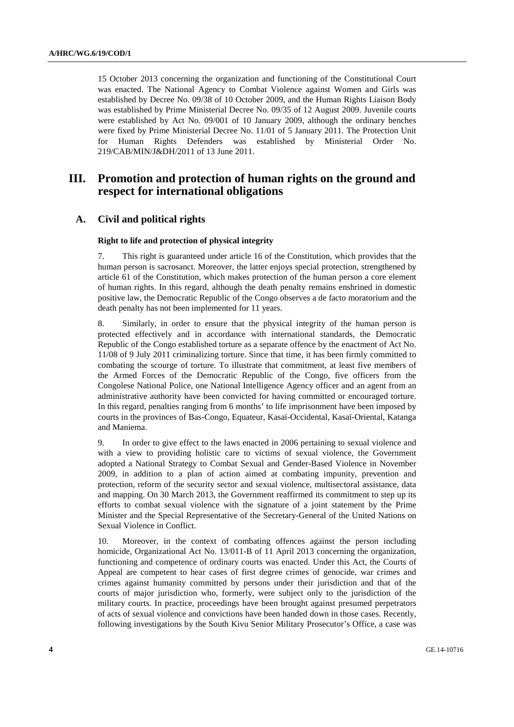15 October 2013 concerning the organization and functioning of the Constitutional Court was enacted. The National Agency to Combat Violence against Women and Girls was established by Decree No. 09/38 of 10 October 2009, and the Human Rights Liaison Body was established by Prime Ministerial Decree No. 09/35 of 12 August 2009. Juvenile courts were established by Act No. 09/001 of 10 January 2009, although the ordinary benches were fixed by Prime Ministerial Decree No. 11/01 of 5 January 2011. The Protection Unit for Human Rights Defenders was established by Ministerial Order No. 219/CAB/MIN/J&DH/2011 of 13 June 2011.

# **III. Promotion and protection of human rights on the ground and respect for international obligations**

#### **A. Civil and political rights**

#### **Right to life and protection of physical integrity**

7. This right is guaranteed under article 16 of the Constitution, which provides that the human person is sacrosanct. Moreover, the latter enjoys special protection, strengthened by article 61 of the Constitution, which makes protection of the human person a core element of human rights. In this regard, although the death penalty remains enshrined in domestic positive law, the Democratic Republic of the Congo observes a de facto moratorium and the death penalty has not been implemented for 11 years.

8. Similarly, in order to ensure that the physical integrity of the human person is protected effectively and in accordance with international standards, the Democratic Republic of the Congo established torture as a separate offence by the enactment of Act No. 11/08 of 9 July 2011 criminalizing torture. Since that time, it has been firmly committed to combating the scourge of torture. To illustrate that commitment, at least five members of the Armed Forces of the Democratic Republic of the Congo, five officers from the Congolese National Police, one National Intelligence Agency officer and an agent from an administrative authority have been convicted for having committed or encouraged torture. In this regard, penalties ranging from 6 months' to life imprisonment have been imposed by courts in the provinces of Bas-Congo, Equateur, Kasaï-Occidental, Kasaï-Oriental, Katanga and Maniema.

9. In order to give effect to the laws enacted in 2006 pertaining to sexual violence and with a view to providing holistic care to victims of sexual violence, the Government adopted a National Strategy to Combat Sexual and Gender-Based Violence in November 2009, in addition to a plan of action aimed at combating impunity, prevention and protection, reform of the security sector and sexual violence, multisectoral assistance, data and mapping. On 30 March 2013, the Government reaffirmed its commitment to step up its efforts to combat sexual violence with the signature of a joint statement by the Prime Minister and the Special Representative of the Secretary-General of the United Nations on Sexual Violence in Conflict.

10. Moreover, in the context of combating offences against the person including homicide, Organizational Act No. 13/011-B of 11 April 2013 concerning the organization, functioning and competence of ordinary courts was enacted. Under this Act, the Courts of Appeal are competent to hear cases of first degree crimes of genocide, war crimes and crimes against humanity committed by persons under their jurisdiction and that of the courts of major jurisdiction who, formerly, were subject only to the jurisdiction of the military courts. In practice, proceedings have been brought against presumed perpetrators of acts of sexual violence and convictions have been handed down in those cases. Recently, following investigations by the South Kivu Senior Military Prosecutor's Office, a case was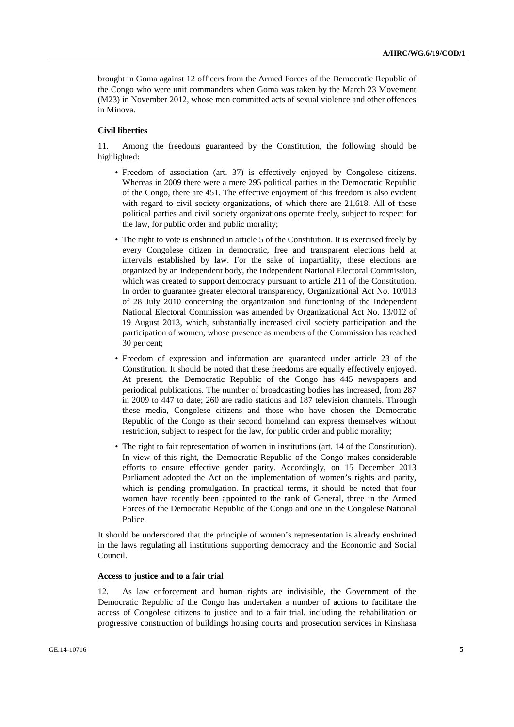brought in Goma against 12 officers from the Armed Forces of the Democratic Republic of the Congo who were unit commanders when Goma was taken by the March 23 Movement (M23) in November 2012, whose men committed acts of sexual violence and other offences in Minova.

#### **Civil liberties**

11. Among the freedoms guaranteed by the Constitution, the following should be highlighted:

- Freedom of association (art. 37) is effectively enjoyed by Congolese citizens. Whereas in 2009 there were a mere 295 political parties in the Democratic Republic of the Congo, there are 451. The effective enjoyment of this freedom is also evident with regard to civil society organizations, of which there are 21,618. All of these political parties and civil society organizations operate freely, subject to respect for the law, for public order and public morality;
- The right to vote is enshrined in article 5 of the Constitution. It is exercised freely by every Congolese citizen in democratic, free and transparent elections held at intervals established by law. For the sake of impartiality, these elections are organized by an independent body, the Independent National Electoral Commission, which was created to support democracy pursuant to article 211 of the Constitution. In order to guarantee greater electoral transparency, Organizational Act No. 10/013 of 28 July 2010 concerning the organization and functioning of the Independent National Electoral Commission was amended by Organizational Act No. 13/012 of 19 August 2013, which, substantially increased civil society participation and the participation of women, whose presence as members of the Commission has reached 30 per cent;
- Freedom of expression and information are guaranteed under article 23 of the Constitution. It should be noted that these freedoms are equally effectively enjoyed. At present, the Democratic Republic of the Congo has 445 newspapers and periodical publications. The number of broadcasting bodies has increased, from 287 in 2009 to 447 to date; 260 are radio stations and 187 television channels. Through these media, Congolese citizens and those who have chosen the Democratic Republic of the Congo as their second homeland can express themselves without restriction, subject to respect for the law, for public order and public morality;
- The right to fair representation of women in institutions (art. 14 of the Constitution). In view of this right, the Democratic Republic of the Congo makes considerable efforts to ensure effective gender parity. Accordingly, on 15 December 2013 Parliament adopted the Act on the implementation of women's rights and parity, which is pending promulgation. In practical terms, it should be noted that four women have recently been appointed to the rank of General, three in the Armed Forces of the Democratic Republic of the Congo and one in the Congolese National Police.

It should be underscored that the principle of women's representation is already enshrined in the laws regulating all institutions supporting democracy and the Economic and Social Council.

#### **Access to justice and to a fair trial**

12. As law enforcement and human rights are indivisible, the Government of the Democratic Republic of the Congo has undertaken a number of actions to facilitate the access of Congolese citizens to justice and to a fair trial, including the rehabilitation or progressive construction of buildings housing courts and prosecution services in Kinshasa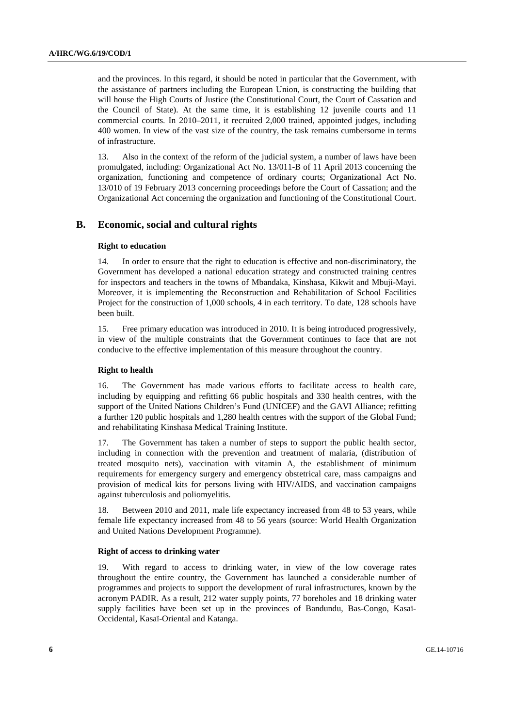and the provinces. In this regard, it should be noted in particular that the Government, with the assistance of partners including the European Union, is constructing the building that will house the High Courts of Justice (the Constitutional Court, the Court of Cassation and the Council of State). At the same time, it is establishing 12 juvenile courts and 11 commercial courts. In 2010–2011, it recruited 2,000 trained, appointed judges, including 400 women. In view of the vast size of the country, the task remains cumbersome in terms of infrastructure.

13. Also in the context of the reform of the judicial system, a number of laws have been promulgated, including: Organizational Act No. 13/011-B of 11 April 2013 concerning the organization, functioning and competence of ordinary courts; Organizational Act No. 13/010 of 19 February 2013 concerning proceedings before the Court of Cassation; and the Organizational Act concerning the organization and functioning of the Constitutional Court.

## **B. Economic, social and cultural rights**

#### **Right to education**

14. In order to ensure that the right to education is effective and non-discriminatory, the Government has developed a national education strategy and constructed training centres for inspectors and teachers in the towns of Mbandaka, Kinshasa, Kikwit and Mbuji-Mayi. Moreover, it is implementing the Reconstruction and Rehabilitation of School Facilities Project for the construction of 1,000 schools, 4 in each territory. To date, 128 schools have been built.

15. Free primary education was introduced in 2010. It is being introduced progressively, in view of the multiple constraints that the Government continues to face that are not conducive to the effective implementation of this measure throughout the country.

#### **Right to health**

16. The Government has made various efforts to facilitate access to health care, including by equipping and refitting 66 public hospitals and 330 health centres, with the support of the United Nations Children's Fund (UNICEF) and the GAVI Alliance; refitting a further 120 public hospitals and 1,280 health centres with the support of the Global Fund; and rehabilitating Kinshasa Medical Training Institute.

17. The Government has taken a number of steps to support the public health sector, including in connection with the prevention and treatment of malaria, (distribution of treated mosquito nets), vaccination with vitamin A, the establishment of minimum requirements for emergency surgery and emergency obstetrical care, mass campaigns and provision of medical kits for persons living with HIV/AIDS, and vaccination campaigns against tuberculosis and poliomyelitis.

18. Between 2010 and 2011, male life expectancy increased from 48 to 53 years, while female life expectancy increased from 48 to 56 years (source: World Health Organization and United Nations Development Programme).

#### **Right of access to drinking water**

19. With regard to access to drinking water, in view of the low coverage rates throughout the entire country, the Government has launched a considerable number of programmes and projects to support the development of rural infrastructures, known by the acronym PADIR. As a result, 212 water supply points, 77 boreholes and 18 drinking water supply facilities have been set up in the provinces of Bandundu, Bas-Congo, Kasaï-Occidental, Kasaï-Oriental and Katanga.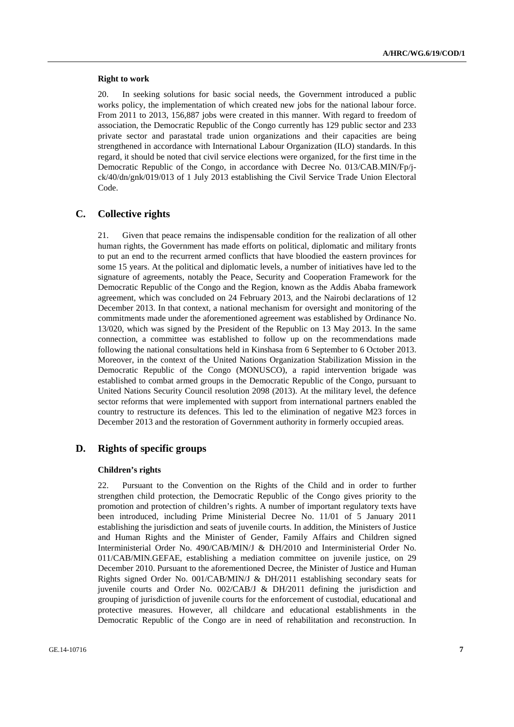#### **Right to work**

20. In seeking solutions for basic social needs, the Government introduced a public works policy, the implementation of which created new jobs for the national labour force. From 2011 to 2013, 156,887 jobs were created in this manner. With regard to freedom of association, the Democratic Republic of the Congo currently has 129 public sector and 233 private sector and parastatal trade union organizations and their capacities are being strengthened in accordance with International Labour Organization (ILO) standards. In this regard, it should be noted that civil service elections were organized, for the first time in the Democratic Republic of the Congo, in accordance with Decree No. 013/CAB.MIN/Fp/jck/40/dn/gnk/019/013 of 1 July 2013 establishing the Civil Service Trade Union Electoral Code.

### **C. Collective rights**

21. Given that peace remains the indispensable condition for the realization of all other human rights, the Government has made efforts on political, diplomatic and military fronts to put an end to the recurrent armed conflicts that have bloodied the eastern provinces for some 15 years. At the political and diplomatic levels, a number of initiatives have led to the signature of agreements, notably the Peace, Security and Cooperation Framework for the Democratic Republic of the Congo and the Region, known as the Addis Ababa framework agreement, which was concluded on 24 February 2013, and the Nairobi declarations of 12 December 2013. In that context, a national mechanism for oversight and monitoring of the commitments made under the aforementioned agreement was established by Ordinance No. 13/020, which was signed by the President of the Republic on 13 May 2013. In the same connection, a committee was established to follow up on the recommendations made following the national consultations held in Kinshasa from 6 September to 6 October 2013. Moreover, in the context of the United Nations Organization Stabilization Mission in the Democratic Republic of the Congo (MONUSCO), a rapid intervention brigade was established to combat armed groups in the Democratic Republic of the Congo, pursuant to United Nations Security Council resolution 2098 (2013). At the military level, the defence sector reforms that were implemented with support from international partners enabled the country to restructure its defences. This led to the elimination of negative M23 forces in December 2013 and the restoration of Government authority in formerly occupied areas.

# **D. Rights of specific groups**

#### **Children's rights**

22. Pursuant to the Convention on the Rights of the Child and in order to further strengthen child protection, the Democratic Republic of the Congo gives priority to the promotion and protection of children's rights. A number of important regulatory texts have been introduced, including Prime Ministerial Decree No. 11/01 of 5 January 2011 establishing the jurisdiction and seats of juvenile courts. In addition, the Ministers of Justice and Human Rights and the Minister of Gender, Family Affairs and Children signed Interministerial Order No. 490/CAB/MIN/J & DH/2010 and Interministerial Order No. 011/CAB/MIN.GEFAE, establishing a mediation committee on juvenile justice, on 29 December 2010. Pursuant to the aforementioned Decree, the Minister of Justice and Human Rights signed Order No. 001/CAB/MIN/J & DH/2011 establishing secondary seats for juvenile courts and Order No. 002/CAB/J & DH/2011 defining the jurisdiction and grouping of jurisdiction of juvenile courts for the enforcement of custodial, educational and protective measures. However, all childcare and educational establishments in the Democratic Republic of the Congo are in need of rehabilitation and reconstruction. In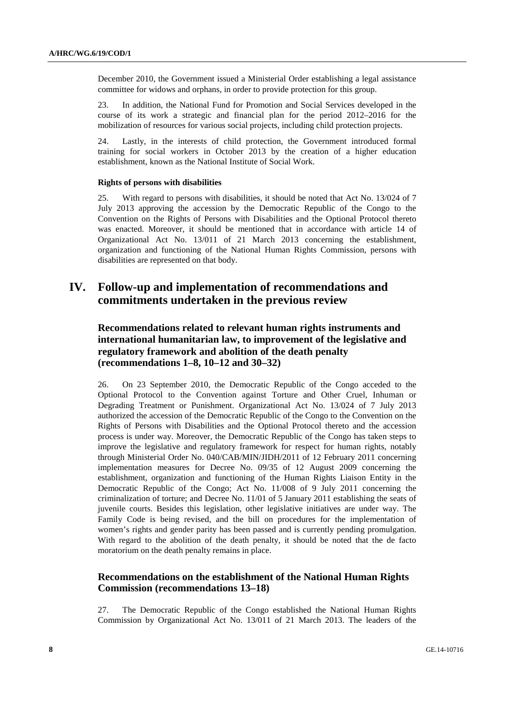December 2010, the Government issued a Ministerial Order establishing a legal assistance committee for widows and orphans, in order to provide protection for this group.

23. In addition, the National Fund for Promotion and Social Services developed in the course of its work a strategic and financial plan for the period 2012–2016 for the mobilization of resources for various social projects, including child protection projects.

24. Lastly, in the interests of child protection, the Government introduced formal training for social workers in October 2013 by the creation of a higher education establishment, known as the National Institute of Social Work.

#### **Rights of persons with disabilities**

25. With regard to persons with disabilities, it should be noted that Act No. 13/024 of 7 July 2013 approving the accession by the Democratic Republic of the Congo to the Convention on the Rights of Persons with Disabilities and the Optional Protocol thereto was enacted. Moreover, it should be mentioned that in accordance with article 14 of Organizational Act No. 13/011 of 21 March 2013 concerning the establishment, organization and functioning of the National Human Rights Commission, persons with disabilities are represented on that body.

# **IV. Follow-up and implementation of recommendations and commitments undertaken in the previous review**

# **Recommendations related to relevant human rights instruments and international humanitarian law, to improvement of the legislative and regulatory framework and abolition of the death penalty (recommendations 1–8, 10–12 and 30–32)**

26. On 23 September 2010, the Democratic Republic of the Congo acceded to the Optional Protocol to the Convention against Torture and Other Cruel, Inhuman or Degrading Treatment or Punishment. Organizational Act No. 13/024 of 7 July 2013 authorized the accession of the Democratic Republic of the Congo to the Convention on the Rights of Persons with Disabilities and the Optional Protocol thereto and the accession process is under way. Moreover, the Democratic Republic of the Congo has taken steps to improve the legislative and regulatory framework for respect for human rights, notably through Ministerial Order No. 040/CAB/MIN/JIDH/2011 of 12 February 2011 concerning implementation measures for Decree No. 09/35 of 12 August 2009 concerning the establishment, organization and functioning of the Human Rights Liaison Entity in the Democratic Republic of the Congo; Act No. 11/008 of 9 July 2011 concerning the criminalization of torture; and Decree No. 11/01 of 5 January 2011 establishing the seats of juvenile courts. Besides this legislation, other legislative initiatives are under way. The Family Code is being revised, and the bill on procedures for the implementation of women's rights and gender parity has been passed and is currently pending promulgation. With regard to the abolition of the death penalty, it should be noted that the de facto moratorium on the death penalty remains in place.

# **Recommendations on the establishment of the National Human Rights Commission (recommendations 13–18)**

27. The Democratic Republic of the Congo established the National Human Rights Commission by Organizational Act No. 13/011 of 21 March 2013. The leaders of the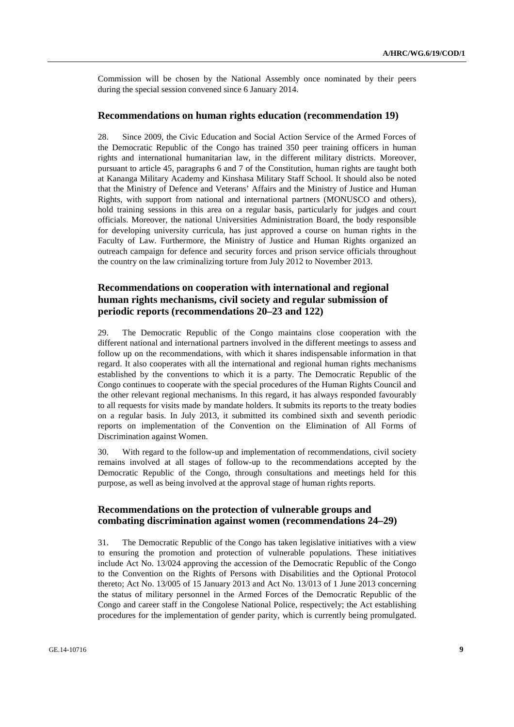Commission will be chosen by the National Assembly once nominated by their peers during the special session convened since 6 January 2014.

#### **Recommendations on human rights education (recommendation 19)**

28. Since 2009, the Civic Education and Social Action Service of the Armed Forces of the Democratic Republic of the Congo has trained 350 peer training officers in human rights and international humanitarian law, in the different military districts. Moreover, pursuant to article 45, paragraphs 6 and 7 of the Constitution, human rights are taught both at Kananga Military Academy and Kinshasa Military Staff School. It should also be noted that the Ministry of Defence and Veterans' Affairs and the Ministry of Justice and Human Rights, with support from national and international partners (MONUSCO and others), hold training sessions in this area on a regular basis, particularly for judges and court officials. Moreover, the national Universities Administration Board, the body responsible for developing university curricula, has just approved a course on human rights in the Faculty of Law. Furthermore, the Ministry of Justice and Human Rights organized an outreach campaign for defence and security forces and prison service officials throughout the country on the law criminalizing torture from July 2012 to November 2013.

# **Recommendations on cooperation with international and regional human rights mechanisms, civil society and regular submission of periodic reports (recommendations 20–23 and 122)**

29. The Democratic Republic of the Congo maintains close cooperation with the different national and international partners involved in the different meetings to assess and follow up on the recommendations, with which it shares indispensable information in that regard. It also cooperates with all the international and regional human rights mechanisms established by the conventions to which it is a party. The Democratic Republic of the Congo continues to cooperate with the special procedures of the Human Rights Council and the other relevant regional mechanisms. In this regard, it has always responded favourably to all requests for visits made by mandate holders. It submits its reports to the treaty bodies on a regular basis. In July 2013, it submitted its combined sixth and seventh periodic reports on implementation of the Convention on the Elimination of All Forms of Discrimination against Women.

30. With regard to the follow-up and implementation of recommendations, civil society remains involved at all stages of follow-up to the recommendations accepted by the Democratic Republic of the Congo, through consultations and meetings held for this purpose, as well as being involved at the approval stage of human rights reports.

# **Recommendations on the protection of vulnerable groups and combating discrimination against women (recommendations 24–29)**

31. The Democratic Republic of the Congo has taken legislative initiatives with a view to ensuring the promotion and protection of vulnerable populations. These initiatives include Act No. 13/024 approving the accession of the Democratic Republic of the Congo to the Convention on the Rights of Persons with Disabilities and the Optional Protocol thereto; Act No. 13/005 of 15 January 2013 and Act No. 13/013 of 1 June 2013 concerning the status of military personnel in the Armed Forces of the Democratic Republic of the Congo and career staff in the Congolese National Police, respectively; the Act establishing procedures for the implementation of gender parity, which is currently being promulgated.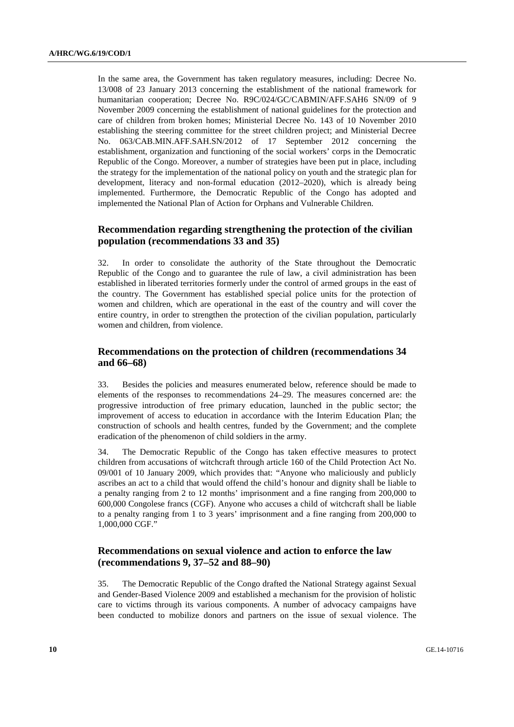In the same area, the Government has taken regulatory measures, including: Decree No. 13/008 of 23 January 2013 concerning the establishment of the national framework for humanitarian cooperation; Decree No. R9C/024/GC/CABMIN/AFF.SAH6 SN/09 of 9 November 2009 concerning the establishment of national guidelines for the protection and care of children from broken homes; Ministerial Decree No. 143 of 10 November 2010 establishing the steering committee for the street children project; and Ministerial Decree No. 063/CAB.MIN.AFF.SAH.SN/2012 of 17 September 2012 concerning the establishment, organization and functioning of the social workers' corps in the Democratic Republic of the Congo. Moreover, a number of strategies have been put in place, including the strategy for the implementation of the national policy on youth and the strategic plan for development, literacy and non-formal education (2012–2020), which is already being implemented. Furthermore, the Democratic Republic of the Congo has adopted and implemented the National Plan of Action for Orphans and Vulnerable Children.

# **Recommendation regarding strengthening the protection of the civilian population (recommendations 33 and 35)**

32. In order to consolidate the authority of the State throughout the Democratic Republic of the Congo and to guarantee the rule of law, a civil administration has been established in liberated territories formerly under the control of armed groups in the east of the country. The Government has established special police units for the protection of women and children, which are operational in the east of the country and will cover the entire country, in order to strengthen the protection of the civilian population, particularly women and children, from violence.

## **Recommendations on the protection of children (recommendations 34 and 66–68)**

33. Besides the policies and measures enumerated below, reference should be made to elements of the responses to recommendations 24–29. The measures concerned are: the progressive introduction of free primary education, launched in the public sector; the improvement of access to education in accordance with the Interim Education Plan; the construction of schools and health centres, funded by the Government; and the complete eradication of the phenomenon of child soldiers in the army.

34. The Democratic Republic of the Congo has taken effective measures to protect children from accusations of witchcraft through article 160 of the Child Protection Act No. 09/001 of 10 January 2009, which provides that: "Anyone who maliciously and publicly ascribes an act to a child that would offend the child's honour and dignity shall be liable to a penalty ranging from 2 to 12 months' imprisonment and a fine ranging from 200,000 to 600,000 Congolese francs (CGF). Anyone who accuses a child of witchcraft shall be liable to a penalty ranging from 1 to 3 years' imprisonment and a fine ranging from 200,000 to 1,000,000 CGF."

# **Recommendations on sexual violence and action to enforce the law (recommendations 9, 37–52 and 88–90)**

35. The Democratic Republic of the Congo drafted the National Strategy against Sexual and Gender-Based Violence 2009 and established a mechanism for the provision of holistic care to victims through its various components. A number of advocacy campaigns have been conducted to mobilize donors and partners on the issue of sexual violence. The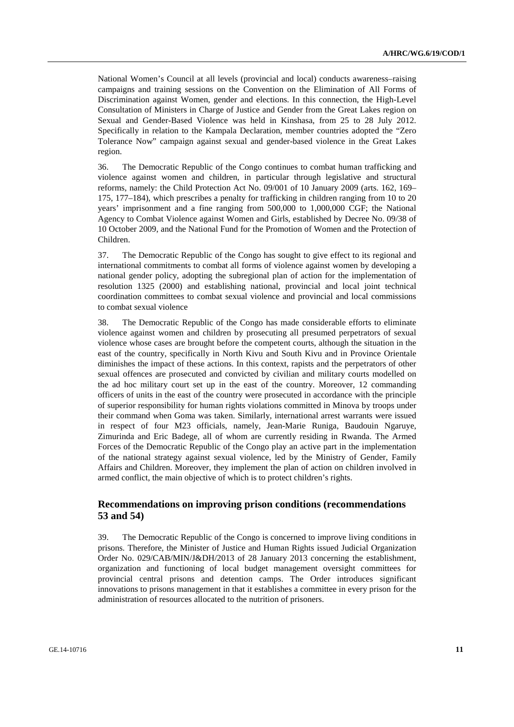National Women's Council at all levels (provincial and local) conducts awareness–raising campaigns and training sessions on the Convention on the Elimination of All Forms of Discrimination against Women, gender and elections. In this connection, the High-Level Consultation of Ministers in Charge of Justice and Gender from the Great Lakes region on Sexual and Gender-Based Violence was held in Kinshasa, from 25 to 28 July 2012. Specifically in relation to the Kampala Declaration, member countries adopted the "Zero Tolerance Now" campaign against sexual and gender-based violence in the Great Lakes region.

36. The Democratic Republic of the Congo continues to combat human trafficking and violence against women and children, in particular through legislative and structural reforms, namely: the Child Protection Act No. 09/001 of 10 January 2009 (arts. 162, 169– 175, 177–184), which prescribes a penalty for trafficking in children ranging from 10 to 20 years' imprisonment and a fine ranging from 500,000 to 1,000,000 CGF; the National Agency to Combat Violence against Women and Girls, established by Decree No. 09/38 of 10 October 2009, and the National Fund for the Promotion of Women and the Protection of Children.

37. The Democratic Republic of the Congo has sought to give effect to its regional and international commitments to combat all forms of violence against women by developing a national gender policy, adopting the subregional plan of action for the implementation of resolution 1325 (2000) and establishing national, provincial and local joint technical coordination committees to combat sexual violence and provincial and local commissions to combat sexual violence

38. The Democratic Republic of the Congo has made considerable efforts to eliminate violence against women and children by prosecuting all presumed perpetrators of sexual violence whose cases are brought before the competent courts, although the situation in the east of the country, specifically in North Kivu and South Kivu and in Province Orientale diminishes the impact of these actions. In this context, rapists and the perpetrators of other sexual offences are prosecuted and convicted by civilian and military courts modelled on the ad hoc military court set up in the east of the country. Moreover, 12 commanding officers of units in the east of the country were prosecuted in accordance with the principle of superior responsibility for human rights violations committed in Minova by troops under their command when Goma was taken. Similarly, international arrest warrants were issued in respect of four M23 officials, namely, Jean-Marie Runiga, Baudouin Ngaruye, Zimurinda and Eric Badege, all of whom are currently residing in Rwanda. The Armed Forces of the Democratic Republic of the Congo play an active part in the implementation of the national strategy against sexual violence, led by the Ministry of Gender, Family Affairs and Children. Moreover, they implement the plan of action on children involved in armed conflict, the main objective of which is to protect children's rights.

# **Recommendations on improving prison conditions (recommendations 53 and 54)**

39. The Democratic Republic of the Congo is concerned to improve living conditions in prisons. Therefore, the Minister of Justice and Human Rights issued Judicial Organization Order No. 029/CAB/MIN/J&DH/2013 of 28 January 2013 concerning the establishment, organization and functioning of local budget management oversight committees for provincial central prisons and detention camps. The Order introduces significant innovations to prisons management in that it establishes a committee in every prison for the administration of resources allocated to the nutrition of prisoners.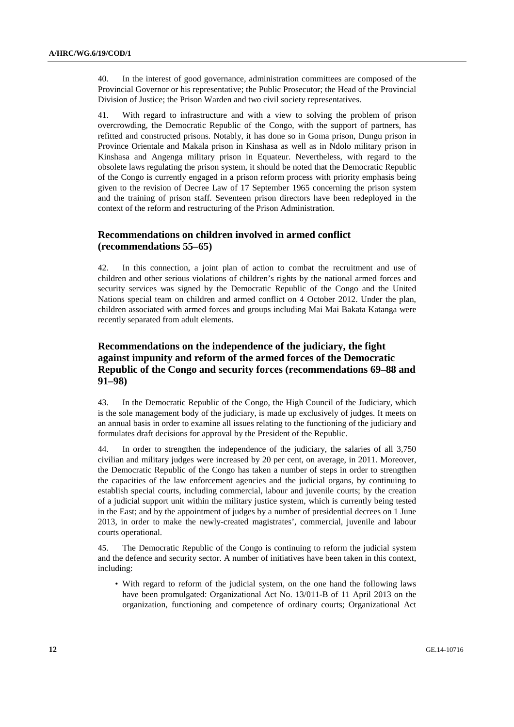40. In the interest of good governance, administration committees are composed of the Provincial Governor or his representative; the Public Prosecutor; the Head of the Provincial Division of Justice; the Prison Warden and two civil society representatives.

41. With regard to infrastructure and with a view to solving the problem of prison overcrowding, the Democratic Republic of the Congo, with the support of partners, has refitted and constructed prisons. Notably, it has done so in Goma prison, Dungu prison in Province Orientale and Makala prison in Kinshasa as well as in Ndolo military prison in Kinshasa and Angenga military prison in Equateur. Nevertheless, with regard to the obsolete laws regulating the prison system, it should be noted that the Democratic Republic of the Congo is currently engaged in a prison reform process with priority emphasis being given to the revision of Decree Law of 17 September 1965 concerning the prison system and the training of prison staff. Seventeen prison directors have been redeployed in the context of the reform and restructuring of the Prison Administration.

# **Recommendations on children involved in armed conflict (recommendations 55–65)**

42. In this connection, a joint plan of action to combat the recruitment and use of children and other serious violations of children's rights by the national armed forces and security services was signed by the Democratic Republic of the Congo and the United Nations special team on children and armed conflict on 4 October 2012. Under the plan, children associated with armed forces and groups including Mai Mai Bakata Katanga were recently separated from adult elements.

# **Recommendations on the independence of the judiciary, the fight against impunity and reform of the armed forces of the Democratic Republic of the Congo and security forces (recommendations 69–88 and 91–98)**

43. In the Democratic Republic of the Congo, the High Council of the Judiciary, which is the sole management body of the judiciary, is made up exclusively of judges. It meets on an annual basis in order to examine all issues relating to the functioning of the judiciary and formulates draft decisions for approval by the President of the Republic.

44. In order to strengthen the independence of the judiciary, the salaries of all 3,750 civilian and military judges were increased by 20 per cent, on average, in 2011. Moreover, the Democratic Republic of the Congo has taken a number of steps in order to strengthen the capacities of the law enforcement agencies and the judicial organs, by continuing to establish special courts, including commercial, labour and juvenile courts; by the creation of a judicial support unit within the military justice system, which is currently being tested in the East; and by the appointment of judges by a number of presidential decrees on 1 June 2013, in order to make the newly-created magistrates', commercial, juvenile and labour courts operational.

45. The Democratic Republic of the Congo is continuing to reform the judicial system and the defence and security sector. A number of initiatives have been taken in this context, including:

• With regard to reform of the judicial system, on the one hand the following laws have been promulgated: Organizational Act No. 13/011-B of 11 April 2013 on the organization, functioning and competence of ordinary courts; Organizational Act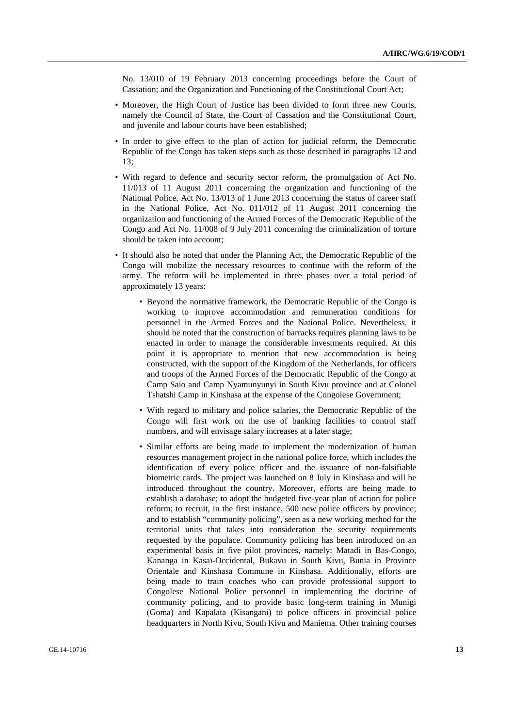No. 13/010 of 19 February 2013 concerning proceedings before the Court of Cassation; and the Organization and Functioning of the Constitutional Court Act;

- Moreover, the High Court of Justice has been divided to form three new Courts, namely the Council of State, the Court of Cassation and the Constitutional Court, and juvenile and labour courts have been established;
- In order to give effect to the plan of action for judicial reform, the Democratic Republic of the Congo has taken steps such as those described in paragraphs 12 and 13;
- With regard to defence and security sector reform, the promulgation of Act No. 11/013 of 11 August 2011 concerning the organization and functioning of the National Police, Act No. 13/013 of 1 June 2013 concerning the status of career staff in the National Police, Act No. 011/012 of 11 August 2011 concerning the organization and functioning of the Armed Forces of the Democratic Republic of the Congo and Act No. 11/008 of 9 July 2011 concerning the criminalization of torture should be taken into account;
- It should also be noted that under the Planning Act, the Democratic Republic of the Congo will mobilize the necessary resources to continue with the reform of the army. The reform will be implemented in three phases over a total period of approximately 13 years:
	- Beyond the normative framework, the Democratic Republic of the Congo is working to improve accommodation and remuneration conditions for personnel in the Armed Forces and the National Police. Nevertheless, it should be noted that the construction of barracks requires planning laws to be enacted in order to manage the considerable investments required. At this point it is appropriate to mention that new accommodation is being constructed, with the support of the Kingdom of the Netherlands, for officers and troops of the Armed Forces of the Democratic Republic of the Congo at Camp Saio and Camp Nyamunyunyi in South Kivu province and at Colonel Tshatshi Camp in Kinshasa at the expense of the Congolese Government;
	- With regard to military and police salaries, the Democratic Republic of the Congo will first work on the use of banking facilities to control staff numbers, and will envisage salary increases at a later stage;
	- Similar efforts are being made to implement the modernization of human resources management project in the national police force, which includes the identification of every police officer and the issuance of non-falsifiable biometric cards. The project was launched on 8 July in Kinshasa and will be introduced throughout the country. Moreover, efforts are being made to establish a database; to adopt the budgeted five-year plan of action for police reform; to recruit, in the first instance, 500 new police officers by province; and to establish "community policing", seen as a new working method for the territorial units that takes into consideration the security requirements requested by the populace. Community policing has been introduced on an experimental basis in five pilot provinces, namely: Matadi in Bas-Congo, Kananga in Kasaï-Occidental, Bukavu in South Kivu, Bunia in Province Orientale and Kinshasa Commune in Kinshasa. Additionally, efforts are being made to train coaches who can provide professional support to Congolese National Police personnel in implementing the doctrine of community policing, and to provide basic long-term training in Munigi (Goma) and Kapalata (Kisangani) to police officers in provincial police headquarters in North Kivu, South Kivu and Maniema. Other training courses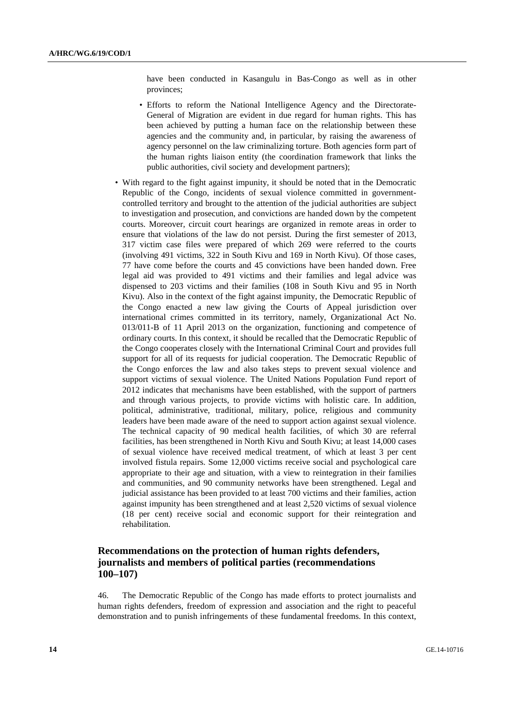have been conducted in Kasangulu in Bas-Congo as well as in other provinces;

- Efforts to reform the National Intelligence Agency and the Directorate-General of Migration are evident in due regard for human rights. This has been achieved by putting a human face on the relationship between these agencies and the community and, in particular, by raising the awareness of agency personnel on the law criminalizing torture. Both agencies form part of the human rights liaison entity (the coordination framework that links the public authorities, civil society and development partners);
- With regard to the fight against impunity, it should be noted that in the Democratic Republic of the Congo, incidents of sexual violence committed in governmentcontrolled territory and brought to the attention of the judicial authorities are subject to investigation and prosecution, and convictions are handed down by the competent courts. Moreover, circuit court hearings are organized in remote areas in order to ensure that violations of the law do not persist. During the first semester of 2013, 317 victim case files were prepared of which 269 were referred to the courts (involving 491 victims, 322 in South Kivu and 169 in North Kivu). Of those cases, 77 have come before the courts and 45 convictions have been handed down. Free legal aid was provided to 491 victims and their families and legal advice was dispensed to 203 victims and their families (108 in South Kivu and 95 in North Kivu). Also in the context of the fight against impunity, the Democratic Republic of the Congo enacted a new law giving the Courts of Appeal jurisdiction over international crimes committed in its territory, namely, Organizational Act No. 013/011-B of 11 April 2013 on the organization, functioning and competence of ordinary courts. In this context, it should be recalled that the Democratic Republic of the Congo cooperates closely with the International Criminal Court and provides full support for all of its requests for judicial cooperation. The Democratic Republic of the Congo enforces the law and also takes steps to prevent sexual violence and support victims of sexual violence. The United Nations Population Fund report of 2012 indicates that mechanisms have been established, with the support of partners and through various projects, to provide victims with holistic care. In addition, political, administrative, traditional, military, police, religious and community leaders have been made aware of the need to support action against sexual violence. The technical capacity of 90 medical health facilities, of which 30 are referral facilities, has been strengthened in North Kivu and South Kivu; at least 14,000 cases of sexual violence have received medical treatment, of which at least 3 per cent involved fistula repairs. Some 12,000 victims receive social and psychological care appropriate to their age and situation, with a view to reintegration in their families and communities, and 90 community networks have been strengthened. Legal and judicial assistance has been provided to at least 700 victims and their families, action against impunity has been strengthened and at least 2,520 victims of sexual violence (18 per cent) receive social and economic support for their reintegration and rehabilitation.

# **Recommendations on the protection of human rights defenders, journalists and members of political parties (recommendations 100–107)**

46. The Democratic Republic of the Congo has made efforts to protect journalists and human rights defenders, freedom of expression and association and the right to peaceful demonstration and to punish infringements of these fundamental freedoms. In this context,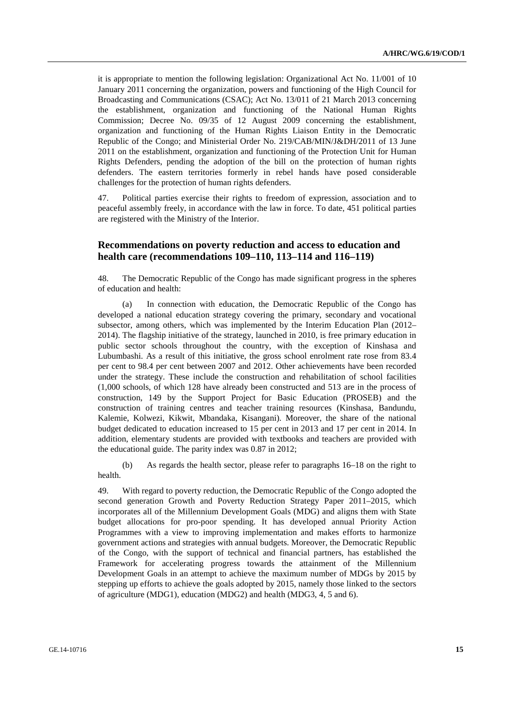it is appropriate to mention the following legislation: Organizational Act No. 11/001 of 10 January 2011 concerning the organization, powers and functioning of the High Council for Broadcasting and Communications (CSAC); Act No. 13/011 of 21 March 2013 concerning the establishment, organization and functioning of the National Human Rights Commission; Decree No. 09/35 of 12 August 2009 concerning the establishment, organization and functioning of the Human Rights Liaison Entity in the Democratic Republic of the Congo; and Ministerial Order No. 219/CAB/MIN/J&DH/2011 of 13 June 2011 on the establishment, organization and functioning of the Protection Unit for Human Rights Defenders, pending the adoption of the bill on the protection of human rights defenders. The eastern territories formerly in rebel hands have posed considerable challenges for the protection of human rights defenders.

47. Political parties exercise their rights to freedom of expression, association and to peaceful assembly freely, in accordance with the law in force. To date, 451 political parties are registered with the Ministry of the Interior.

# **Recommendations on poverty reduction and access to education and health care (recommendations 109–110, 113–114 and 116–119)**

48. The Democratic Republic of the Congo has made significant progress in the spheres of education and health:

 (a) In connection with education, the Democratic Republic of the Congo has developed a national education strategy covering the primary, secondary and vocational subsector, among others, which was implemented by the Interim Education Plan (2012– 2014). The flagship initiative of the strategy, launched in 2010, is free primary education in public sector schools throughout the country, with the exception of Kinshasa and Lubumbashi. As a result of this initiative, the gross school enrolment rate rose from 83.4 per cent to 98.4 per cent between 2007 and 2012. Other achievements have been recorded under the strategy. These include the construction and rehabilitation of school facilities (1,000 schools, of which 128 have already been constructed and 513 are in the process of construction, 149 by the Support Project for Basic Education (PROSEB) and the construction of training centres and teacher training resources (Kinshasa, Bandundu, Kalemie, Kolwezi, Kikwit, Mbandaka, Kisangani). Moreover, the share of the national budget dedicated to education increased to 15 per cent in 2013 and 17 per cent in 2014. In addition, elementary students are provided with textbooks and teachers are provided with the educational guide. The parity index was 0.87 in 2012;

 (b) As regards the health sector, please refer to paragraphs 16–18 on the right to health.

49. With regard to poverty reduction, the Democratic Republic of the Congo adopted the second generation Growth and Poverty Reduction Strategy Paper 2011–2015, which incorporates all of the Millennium Development Goals (MDG) and aligns them with State budget allocations for pro-poor spending. It has developed annual Priority Action Programmes with a view to improving implementation and makes efforts to harmonize government actions and strategies with annual budgets. Moreover, the Democratic Republic of the Congo, with the support of technical and financial partners, has established the Framework for accelerating progress towards the attainment of the Millennium Development Goals in an attempt to achieve the maximum number of MDGs by 2015 by stepping up efforts to achieve the goals adopted by 2015, namely those linked to the sectors of agriculture (MDG1), education (MDG2) and health (MDG3, 4, 5 and 6).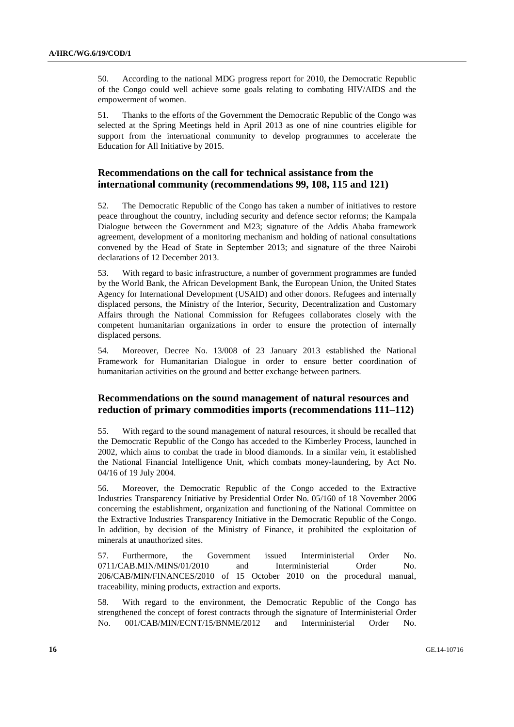50. According to the national MDG progress report for 2010, the Democratic Republic of the Congo could well achieve some goals relating to combating HIV/AIDS and the empowerment of women.

51. Thanks to the efforts of the Government the Democratic Republic of the Congo was selected at the Spring Meetings held in April 2013 as one of nine countries eligible for support from the international community to develop programmes to accelerate the Education for All Initiative by 2015.

## **Recommendations on the call for technical assistance from the international community (recommendations 99, 108, 115 and 121)**

52. The Democratic Republic of the Congo has taken a number of initiatives to restore peace throughout the country, including security and defence sector reforms; the Kampala Dialogue between the Government and M23; signature of the Addis Ababa framework agreement, development of a monitoring mechanism and holding of national consultations convened by the Head of State in September 2013; and signature of the three Nairobi declarations of 12 December 2013.

53. With regard to basic infrastructure, a number of government programmes are funded by the World Bank, the African Development Bank, the European Union, the United States Agency for International Development (USAID) and other donors. Refugees and internally displaced persons, the Ministry of the Interior, Security, Decentralization and Customary Affairs through the National Commission for Refugees collaborates closely with the competent humanitarian organizations in order to ensure the protection of internally displaced persons.

54. Moreover, Decree No. 13/008 of 23 January 2013 established the National Framework for Humanitarian Dialogue in order to ensure better coordination of humanitarian activities on the ground and better exchange between partners.

### **Recommendations on the sound management of natural resources and reduction of primary commodities imports (recommendations 111–112)**

55. With regard to the sound management of natural resources, it should be recalled that the Democratic Republic of the Congo has acceded to the Kimberley Process, launched in 2002, which aims to combat the trade in blood diamonds. In a similar vein, it established the National Financial Intelligence Unit, which combats money-laundering, by Act No. 04/16 of 19 July 2004.

56. Moreover, the Democratic Republic of the Congo acceded to the Extractive Industries Transparency Initiative by Presidential Order No. 05/160 of 18 November 2006 concerning the establishment, organization and functioning of the National Committee on the Extractive Industries Transparency Initiative in the Democratic Republic of the Congo. In addition, by decision of the Ministry of Finance, it prohibited the exploitation of minerals at unauthorized sites.

57. Furthermore, the Government issued Interministerial Order No. 0711/CAB.MIN/MINS/01/2010 and Interministerial Order No. 206/CAB/MIN/FINANCES/2010 of 15 October 2010 on the procedural manual, traceability, mining products, extraction and exports.

58. With regard to the environment, the Democratic Republic of the Congo has strengthened the concept of forest contracts through the signature of Interministerial Order No. 001/CAB/MIN/ECNT/15/BNME/2012 and Interministerial Order No.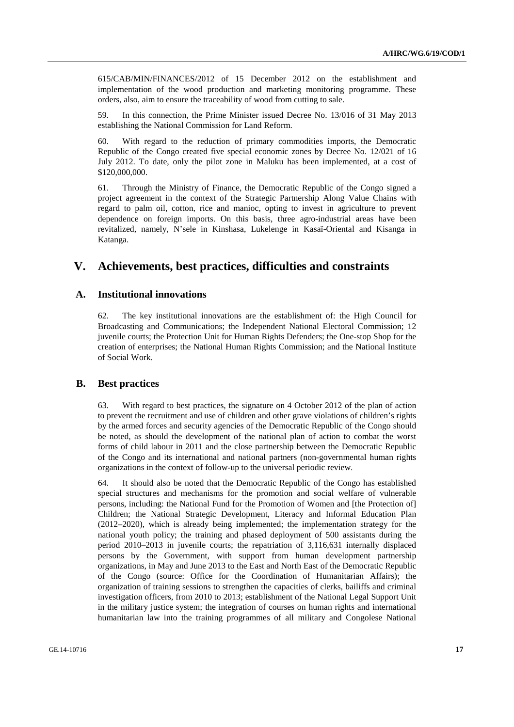615/CAB/MIN/FINANCES/2012 of 15 December 2012 on the establishment and implementation of the wood production and marketing monitoring programme. These orders, also, aim to ensure the traceability of wood from cutting to sale.

59. In this connection, the Prime Minister issued Decree No. 13/016 of 31 May 2013 establishing the National Commission for Land Reform.

60. With regard to the reduction of primary commodities imports, the Democratic Republic of the Congo created five special economic zones by Decree No. 12/021 of 16 July 2012. To date, only the pilot zone in Maluku has been implemented, at a cost of \$120,000,000.

61. Through the Ministry of Finance, the Democratic Republic of the Congo signed a project agreement in the context of the Strategic Partnership Along Value Chains with regard to palm oil, cotton, rice and manioc, opting to invest in agriculture to prevent dependence on foreign imports. On this basis, three agro-industrial areas have been revitalized, namely, N'sele in Kinshasa, Lukelenge in Kasaï-Oriental and Kisanga in Katanga.

# **V. Achievements, best practices, difficulties and constraints**

# **A. Institutional innovations**

62. The key institutional innovations are the establishment of: the High Council for Broadcasting and Communications; the Independent National Electoral Commission; 12 juvenile courts; the Protection Unit for Human Rights Defenders; the One-stop Shop for the creation of enterprises; the National Human Rights Commission; and the National Institute of Social Work.

#### **B. Best practices**

63. With regard to best practices, the signature on 4 October 2012 of the plan of action to prevent the recruitment and use of children and other grave violations of children's rights by the armed forces and security agencies of the Democratic Republic of the Congo should be noted, as should the development of the national plan of action to combat the worst forms of child labour in 2011 and the close partnership between the Democratic Republic of the Congo and its international and national partners (non-governmental human rights organizations in the context of follow-up to the universal periodic review.

64. It should also be noted that the Democratic Republic of the Congo has established special structures and mechanisms for the promotion and social welfare of vulnerable persons, including: the National Fund for the Promotion of Women and [the Protection of] Children; the National Strategic Development, Literacy and Informal Education Plan (2012–2020), which is already being implemented; the implementation strategy for the national youth policy; the training and phased deployment of 500 assistants during the period 2010–2013 in juvenile courts; the repatriation of 3,116,631 internally displaced persons by the Government, with support from human development partnership organizations, in May and June 2013 to the East and North East of the Democratic Republic of the Congo (source: Office for the Coordination of Humanitarian Affairs); the organization of training sessions to strengthen the capacities of clerks, bailiffs and criminal investigation officers, from 2010 to 2013; establishment of the National Legal Support Unit in the military justice system; the integration of courses on human rights and international humanitarian law into the training programmes of all military and Congolese National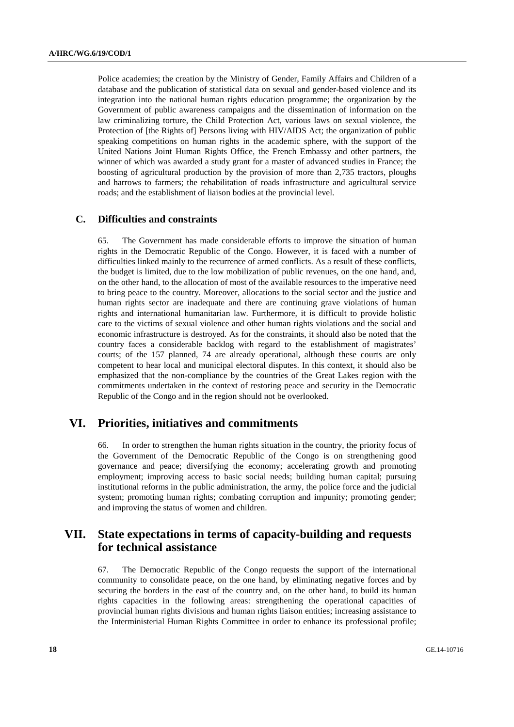Police academies; the creation by the Ministry of Gender, Family Affairs and Children of a database and the publication of statistical data on sexual and gender-based violence and its integration into the national human rights education programme; the organization by the Government of public awareness campaigns and the dissemination of information on the law criminalizing torture, the Child Protection Act, various laws on sexual violence, the Protection of [the Rights of] Persons living with HIV/AIDS Act; the organization of public speaking competitions on human rights in the academic sphere, with the support of the United Nations Joint Human Rights Office, the French Embassy and other partners, the winner of which was awarded a study grant for a master of advanced studies in France; the boosting of agricultural production by the provision of more than 2,735 tractors, ploughs and harrows to farmers; the rehabilitation of roads infrastructure and agricultural service roads; and the establishment of liaison bodies at the provincial level.

### **C. Difficulties and constraints**

65. The Government has made considerable efforts to improve the situation of human rights in the Democratic Republic of the Congo. However, it is faced with a number of difficulties linked mainly to the recurrence of armed conflicts. As a result of these conflicts, the budget is limited, due to the low mobilization of public revenues, on the one hand, and, on the other hand, to the allocation of most of the available resources to the imperative need to bring peace to the country. Moreover, allocations to the social sector and the justice and human rights sector are inadequate and there are continuing grave violations of human rights and international humanitarian law. Furthermore, it is difficult to provide holistic care to the victims of sexual violence and other human rights violations and the social and economic infrastructure is destroyed. As for the constraints, it should also be noted that the country faces a considerable backlog with regard to the establishment of magistrates' courts; of the 157 planned, 74 are already operational, although these courts are only competent to hear local and municipal electoral disputes. In this context, it should also be emphasized that the non-compliance by the countries of the Great Lakes region with the commitments undertaken in the context of restoring peace and security in the Democratic Republic of the Congo and in the region should not be overlooked.

# **VI. Priorities, initiatives and commitments**

66. In order to strengthen the human rights situation in the country, the priority focus of the Government of the Democratic Republic of the Congo is on strengthening good governance and peace; diversifying the economy; accelerating growth and promoting employment; improving access to basic social needs; building human capital; pursuing institutional reforms in the public administration, the army, the police force and the judicial system; promoting human rights; combating corruption and impunity; promoting gender; and improving the status of women and children.

# **VII. State expectations in terms of capacity-building and requests for technical assistance**

67. The Democratic Republic of the Congo requests the support of the international community to consolidate peace, on the one hand, by eliminating negative forces and by securing the borders in the east of the country and, on the other hand, to build its human rights capacities in the following areas: strengthening the operational capacities of provincial human rights divisions and human rights liaison entities; increasing assistance to the Interministerial Human Rights Committee in order to enhance its professional profile;